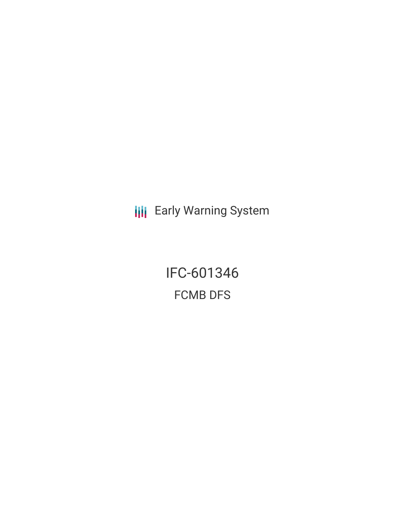**III** Early Warning System

IFC-601346 FCMB DFS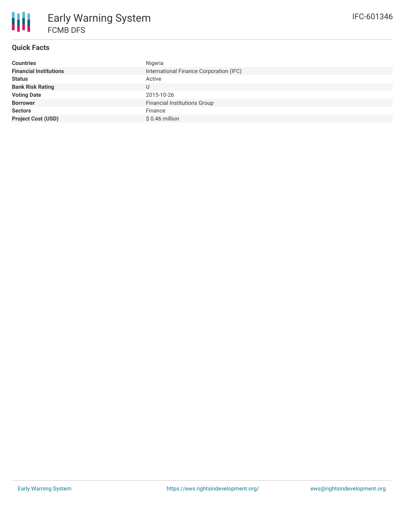

# **Quick Facts**

| <b>Countries</b>              | Nigeria                                 |
|-------------------------------|-----------------------------------------|
| <b>Financial Institutions</b> | International Finance Corporation (IFC) |
| <b>Status</b>                 | Active                                  |
| <b>Bank Risk Rating</b>       | U                                       |
| <b>Voting Date</b>            | 2015-10-26                              |
| <b>Borrower</b>               | <b>Financial Institutions Group</b>     |
| <b>Sectors</b>                | Finance                                 |
| <b>Project Cost (USD)</b>     | $$0.46$ million                         |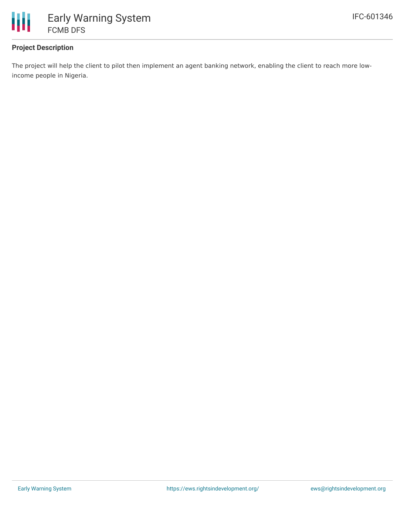

## **Project Description**

The project will help the client to pilot then implement an agent banking network, enabling the client to reach more lowincome people in Nigeria.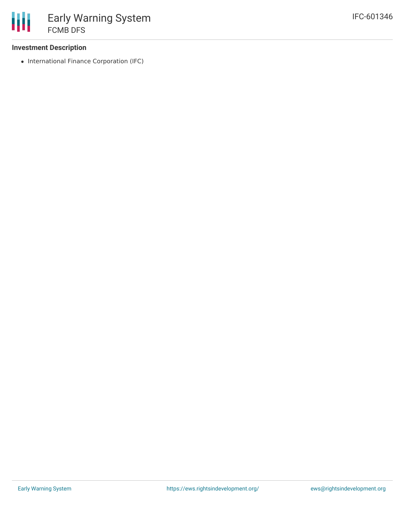### **Investment Description**

• International Finance Corporation (IFC)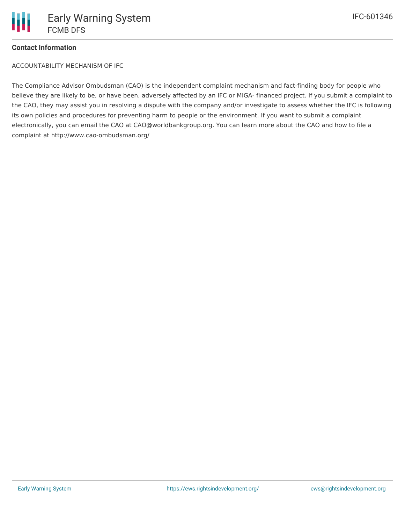

### **Contact Information**

ACCOUNTABILITY MECHANISM OF IFC

The Compliance Advisor Ombudsman (CAO) is the independent complaint mechanism and fact-finding body for people who believe they are likely to be, or have been, adversely affected by an IFC or MIGA- financed project. If you submit a complaint to the CAO, they may assist you in resolving a dispute with the company and/or investigate to assess whether the IFC is following its own policies and procedures for preventing harm to people or the environment. If you want to submit a complaint electronically, you can email the CAO at CAO@worldbankgroup.org. You can learn more about the CAO and how to file a complaint at http://www.cao-ombudsman.org/